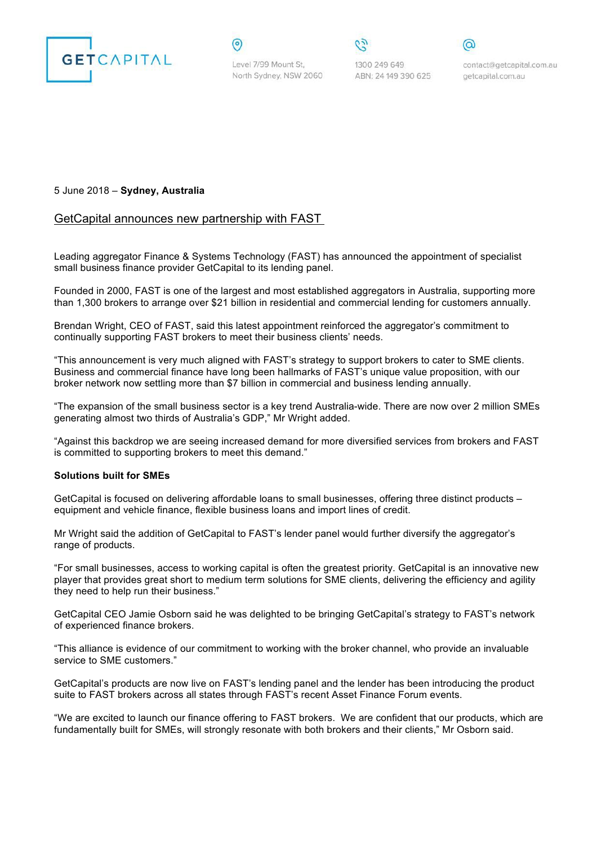

Level 7/99 Mount St. North Sydney, NSW 2060

⊚

1300 249 649 ABN: 24 149 390 625

contact@getcapital.com.au getcapital.com.au

## 5 June 2018 – **Sydney, Australia**

## GetCapital announces new partnership with FAST

Leading aggregator Finance & Systems Technology (FAST) has announced the appointment of specialist small business finance provider GetCapital to its lending panel.

Founded in 2000, FAST is one of the largest and most established aggregators in Australia, supporting more than 1,300 brokers to arrange over \$21 billion in residential and commercial lending for customers annually.

Brendan Wright, CEO of FAST, said this latest appointment reinforced the aggregator's commitment to continually supporting FAST brokers to meet their business clients' needs.

"This announcement is very much aligned with FAST's strategy to support brokers to cater to SME clients. Business and commercial finance have long been hallmarks of FAST's unique value proposition, with our broker network now settling more than \$7 billion in commercial and business lending annually.

"The expansion of the small business sector is a key trend Australia-wide. There are now over 2 million SMEs generating almost two thirds of Australia's GDP," Mr Wright added.

"Against this backdrop we are seeing increased demand for more diversified services from brokers and FAST is committed to supporting brokers to meet this demand."

## **Solutions built for SMEs**

GetCapital is focused on delivering affordable loans to small businesses, offering three distinct products – equipment and vehicle finance, flexible business loans and import lines of credit.

Mr Wright said the addition of GetCapital to FAST's lender panel would further diversify the aggregator's range of products.

"For small businesses, access to working capital is often the greatest priority. GetCapital is an innovative new player that provides great short to medium term solutions for SME clients, delivering the efficiency and agility they need to help run their business."

GetCapital CEO Jamie Osborn said he was delighted to be bringing GetCapital's strategy to FAST's network of experienced finance brokers.

"This alliance is evidence of our commitment to working with the broker channel, who provide an invaluable service to SME customers."

GetCapital's products are now live on FAST's lending panel and the lender has been introducing the product suite to FAST brokers across all states through FAST's recent Asset Finance Forum events.

"We are excited to launch our finance offering to FAST brokers. We are confident that our products, which are fundamentally built for SMEs, will strongly resonate with both brokers and their clients," Mr Osborn said.